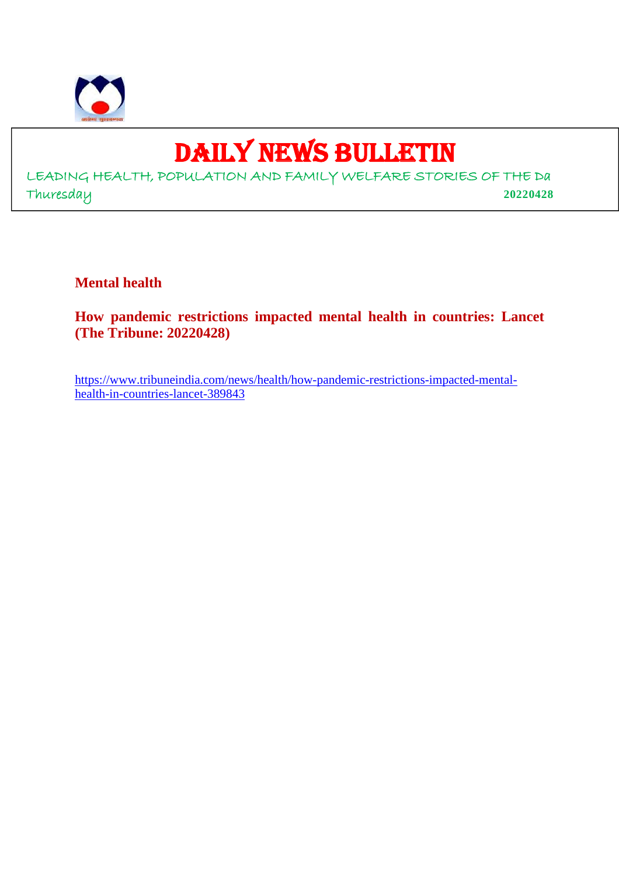

# DAILY NEWS BULLETIN

LEADING HEALTH, POPULATION AND FAMILY WELFARE STORIES OF THE Da Thuresday **20220428**

**Mental health**

**How pandemic restrictions impacted mental health in countries: Lancet (The Tribune: 20220428)**

https://www.tribuneindia.com/news/health/how-pandemic-restrictions-impacted-mentalhealth-in-countries-lancet-389843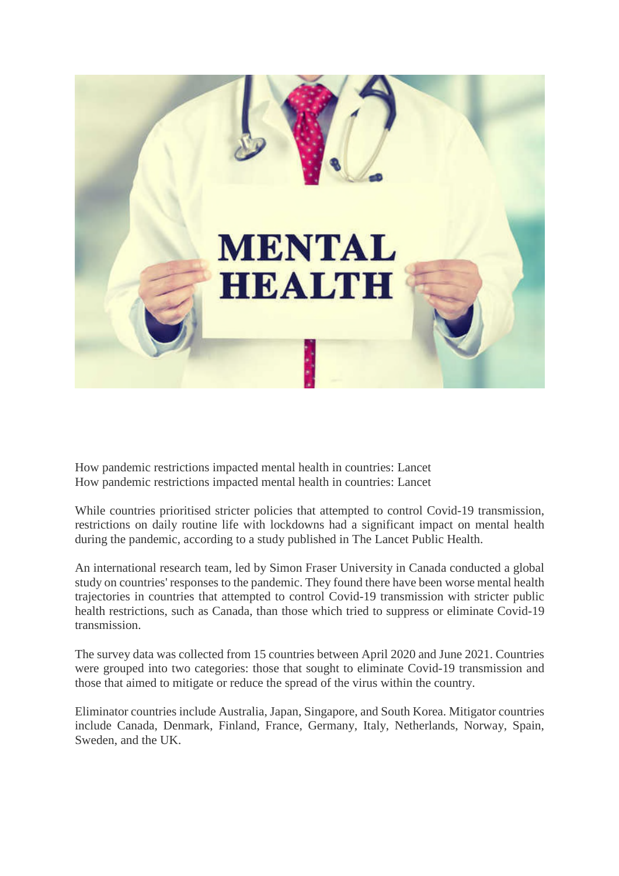

How pandemic restrictions impacted mental health in countries: Lancet How pandemic restrictions impacted mental health in countries: Lancet

While countries prioritised stricter policies that attempted to control Covid-19 transmission, restrictions on daily routine life with lockdowns had a significant impact on mental health during the pandemic, according to a study published in The Lancet Public Health.

An international research team, led by Simon Fraser University in Canada conducted a global study on countries' responses to the pandemic. They found there have been worse mental health trajectories in countries that attempted to control Covid-19 transmission with stricter public health restrictions, such as Canada, than those which tried to suppress or eliminate Covid-19 transmission.

The survey data was collected from 15 countries between April 2020 and June 2021. Countries were grouped into two categories: those that sought to eliminate Covid-19 transmission and those that aimed to mitigate or reduce the spread of the virus within the country.

Eliminator countries include Australia, Japan, Singapore, and South Korea. Mitigator countries include Canada, Denmark, Finland, France, Germany, Italy, Netherlands, Norway, Spain, Sweden, and the UK.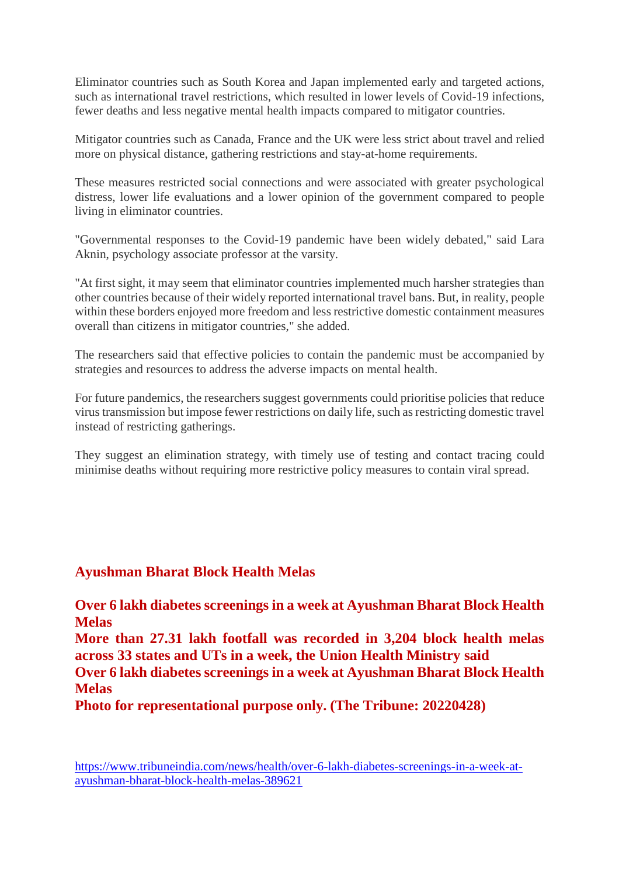Eliminator countries such as South Korea and Japan implemented early and targeted actions, such as international travel restrictions, which resulted in lower levels of Covid-19 infections, fewer deaths and less negative mental health impacts compared to mitigator countries.

Mitigator countries such as Canada, France and the UK were less strict about travel and relied more on physical distance, gathering restrictions and stay-at-home requirements.

These measures restricted social connections and were associated with greater psychological distress, lower life evaluations and a lower opinion of the government compared to people living in eliminator countries.

"Governmental responses to the Covid-19 pandemic have been widely debated," said Lara Aknin, psychology associate professor at the varsity.

"At first sight, it may seem that eliminator countries implemented much harsher strategies than other countries because of their widely reported international travel bans. But, in reality, people within these borders enjoyed more freedom and less restrictive domestic containment measures overall than citizens in mitigator countries," she added.

The researchers said that effective policies to contain the pandemic must be accompanied by strategies and resources to address the adverse impacts on mental health.

For future pandemics, the researchers suggest governments could prioritise policies that reduce virus transmission but impose fewer restrictions on daily life, such as restricting domestic travel instead of restricting gatherings.

They suggest an elimination strategy, with timely use of testing and contact tracing could minimise deaths without requiring more restrictive policy measures to contain viral spread.

# **Ayushman Bharat Block Health Melas**

**Over 6 lakh diabetes screenings in a week at Ayushman Bharat Block Health Melas More than 27.31 lakh footfall was recorded in 3,204 block health melas across 33 states and UTs in a week, the Union Health Ministry said Over 6 lakh diabetes screenings in a week at Ayushman Bharat Block Health Melas**

**Photo for representational purpose only. (The Tribune: 20220428)**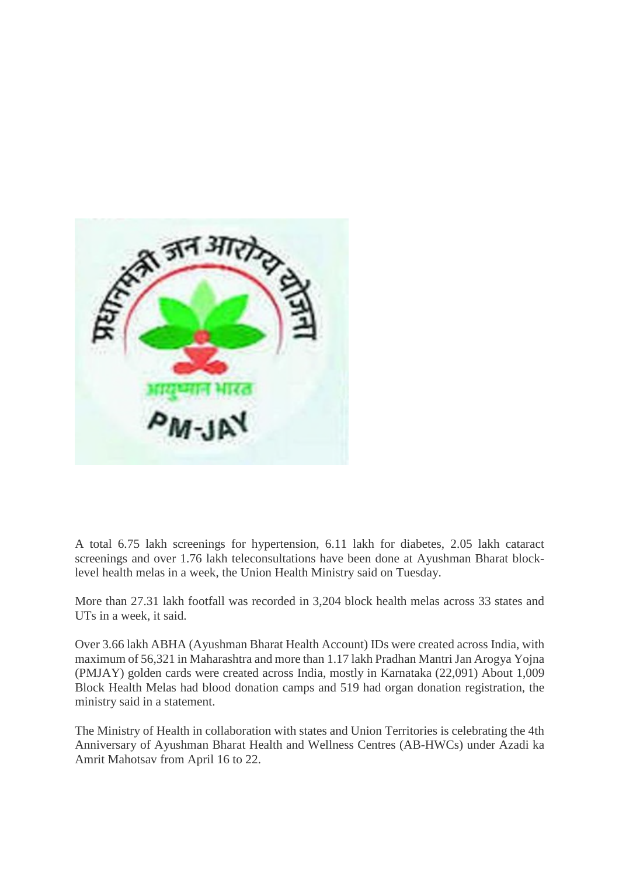

A total 6.75 lakh screenings for hypertension, 6.11 lakh for diabetes, 2.05 lakh cataract screenings and over 1.76 lakh teleconsultations have been done at Ayushman Bharat blocklevel health melas in a week, the Union Health Ministry said on Tuesday.

More than 27.31 lakh footfall was recorded in 3,204 block health melas across 33 states and UTs in a week, it said.

Over 3.66 lakh ABHA (Ayushman Bharat Health Account) IDs were created across India, with maximum of 56,321 in Maharashtra and more than 1.17 lakh Pradhan Mantri Jan Arogya Yojna (PMJAY) golden cards were created across India, mostly in Karnataka (22,091) About 1,009 Block Health Melas had blood donation camps and 519 had organ donation registration, the ministry said in a statement.

The Ministry of Health in collaboration with states and Union Territories is celebrating the 4th Anniversary of Ayushman Bharat Health and Wellness Centres (AB-HWCs) under Azadi ka Amrit Mahotsav from April 16 to 22.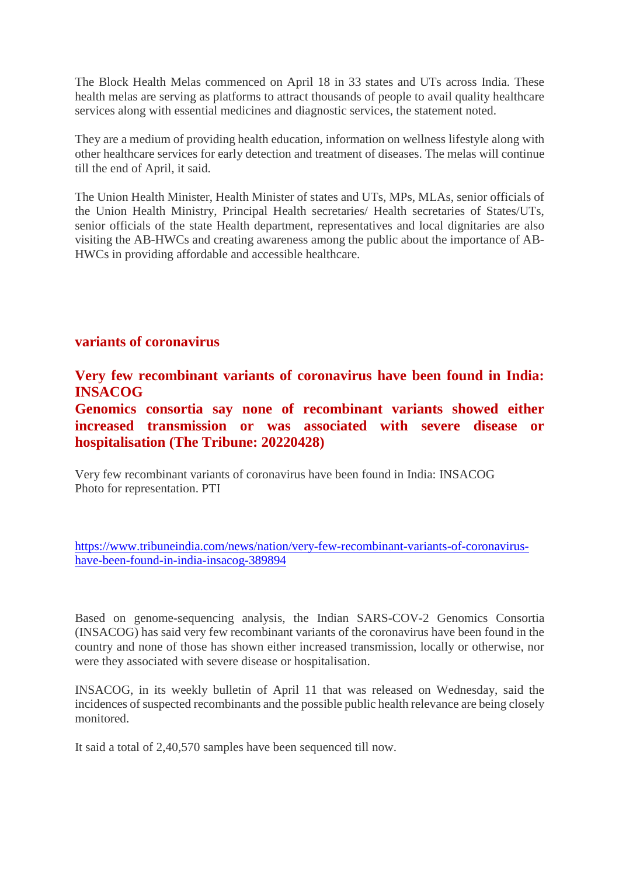The Block Health Melas commenced on April 18 in 33 states and UTs across India. These health melas are serving as platforms to attract thousands of people to avail quality healthcare services along with essential medicines and diagnostic services, the statement noted.

They are a medium of providing health education, information on wellness lifestyle along with other healthcare services for early detection and treatment of diseases. The melas will continue till the end of April, it said.

The Union Health Minister, Health Minister of states and UTs, MPs, MLAs, senior officials of the Union Health Ministry, Principal Health secretaries/ Health secretaries of States/UTs, senior officials of the state Health department, representatives and local dignitaries are also visiting the AB-HWCs and creating awareness among the public about the importance of AB-HWCs in providing affordable and accessible healthcare.

# **variants of coronavirus**

**Very few recombinant variants of coronavirus have been found in India: INSACOG**

**Genomics consortia say none of recombinant variants showed either increased transmission or was associated with severe disease or hospitalisation (The Tribune: 20220428)**

Very few recombinant variants of coronavirus have been found in India: INSACOG Photo for representation. PTI

https://www.tribuneindia.com/news/nation/very-few-recombinant-variants-of-coronavirushave-been-found-in-india-insacog-389894

Based on genome-sequencing analysis, the Indian SARS-COV-2 Genomics Consortia (INSACOG) has said very few recombinant variants of the coronavirus have been found in the country and none of those has shown either increased transmission, locally or otherwise, nor were they associated with severe disease or hospitalisation.

INSACOG, in its weekly bulletin of April 11 that was released on Wednesday, said the incidences of suspected recombinants and the possible public health relevance are being closely monitored.

It said a total of 2,40,570 samples have been sequenced till now.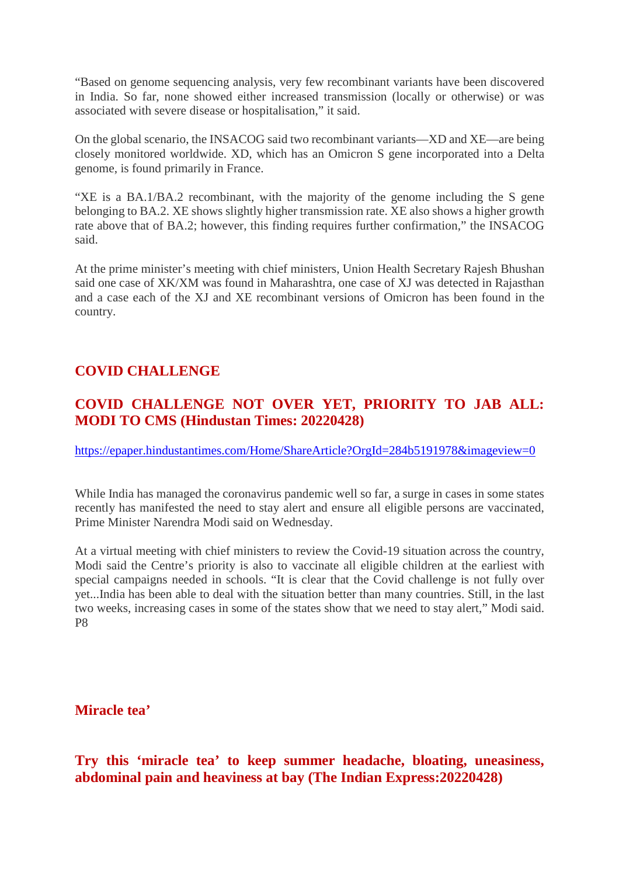"Based on genome sequencing analysis, very few recombinant variants have been discovered in India. So far, none showed either increased transmission (locally or otherwise) or was associated with severe disease or hospitalisation," it said.

On the global scenario, the INSACOG said two recombinant variants—XD and XE—are being closely monitored worldwide. XD, which has an Omicron S gene incorporated into a Delta genome, is found primarily in France.

"XE is a BA.1/BA.2 recombinant, with the majority of the genome including the S gene belonging to BA.2. XE shows slightly higher transmission rate. XE also shows a higher growth rate above that of BA.2; however, this finding requires further confirmation," the INSACOG said.

At the prime minister's meeting with chief ministers, Union Health Secretary Rajesh Bhushan said one case of XK/XM was found in Maharashtra, one case of XJ was detected in Rajasthan and a case each of the XJ and XE recombinant versions of Omicron has been found in the country.

# **COVID CHALLENGE**

# **COVID CHALLENGE NOT OVER YET, PRIORITY TO JAB ALL: MODI TO CMS (Hindustan Times: 20220428)**

https://epaper.hindustantimes.com/Home/ShareArticle?OrgId=284b5191978&imageview=0

While India has managed the coronavirus pandemic well so far, a surge in cases in some states recently has manifested the need to stay alert and ensure all eligible persons are vaccinated, Prime Minister Narendra Modi said on Wednesday.

At a virtual meeting with chief ministers to review the Covid-19 situation across the country, Modi said the Centre's priority is also to vaccinate all eligible children at the earliest with special campaigns needed in schools. "It is clear that the Covid challenge is not fully over yet...India has been able to deal with the situation better than many countries. Still, in the last two weeks, increasing cases in some of the states show that we need to stay alert," Modi said. P8

**Miracle tea'**

**Try this 'miracle tea' to keep summer headache, bloating, uneasiness, abdominal pain and heaviness at bay (The Indian Express:20220428)**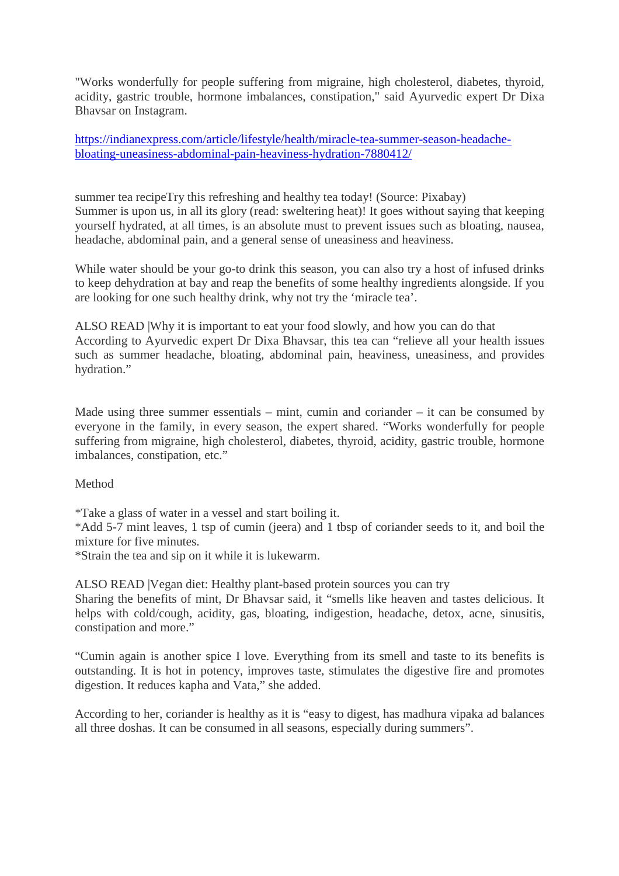"Works wonderfully for people suffering from migraine, high cholesterol, diabetes, thyroid, acidity, gastric trouble, hormone imbalances, constipation," said Ayurvedic expert Dr Dixa Bhavsar on Instagram.

https://indianexpress.com/article/lifestyle/health/miracle-tea-summer-season-headachebloating-uneasiness-abdominal-pain-heaviness-hydration-7880412/

summer tea recipeTry this refreshing and healthy tea today! (Source: Pixabay) Summer is upon us, in all its glory (read: sweltering heat)! It goes without saying that keeping yourself hydrated, at all times, is an absolute must to prevent issues such as bloating, nausea, headache, abdominal pain, and a general sense of uneasiness and heaviness.

While water should be your go-to drink this season, you can also try a host of infused drinks to keep dehydration at bay and reap the benefits of some healthy ingredients alongside. If you are looking for one such healthy drink, why not try the 'miracle tea'.

ALSO READ |Why it is important to eat your food slowly, and how you can do that According to Ayurvedic expert Dr Dixa Bhavsar, this tea can "relieve all your health issues such as summer headache, bloating, abdominal pain, heaviness, uneasiness, and provides hydration."

Made using three summer essentials – mint, cumin and coriander – it can be consumed by everyone in the family, in every season, the expert shared. "Works wonderfully for people suffering from migraine, high cholesterol, diabetes, thyroid, acidity, gastric trouble, hormone imbalances, constipation, etc."

#### Method

constipation and more."

\*Take a glass of water in a vessel and start boiling it.

\*Add 5-7 mint leaves, 1 tsp of cumin (jeera) and 1 tbsp of coriander seeds to it, and boil the mixture for five minutes.

\*Strain the tea and sip on it while it is lukewarm.

ALSO READ |Vegan diet: Healthy plant-based protein sources you can try Sharing the benefits of mint, Dr Bhavsar said, it "smells like heaven and tastes delicious. It helps with cold/cough, acidity, gas, bloating, indigestion, headache, detox, acne, sinusitis,

"Cumin again is another spice I love. Everything from its smell and taste to its benefits is outstanding. It is hot in potency, improves taste, stimulates the digestive fire and promotes digestion. It reduces kapha and Vata," she added.

According to her, coriander is healthy as it is "easy to digest, has madhura vipaka ad balances all three doshas. It can be consumed in all seasons, especially during summers".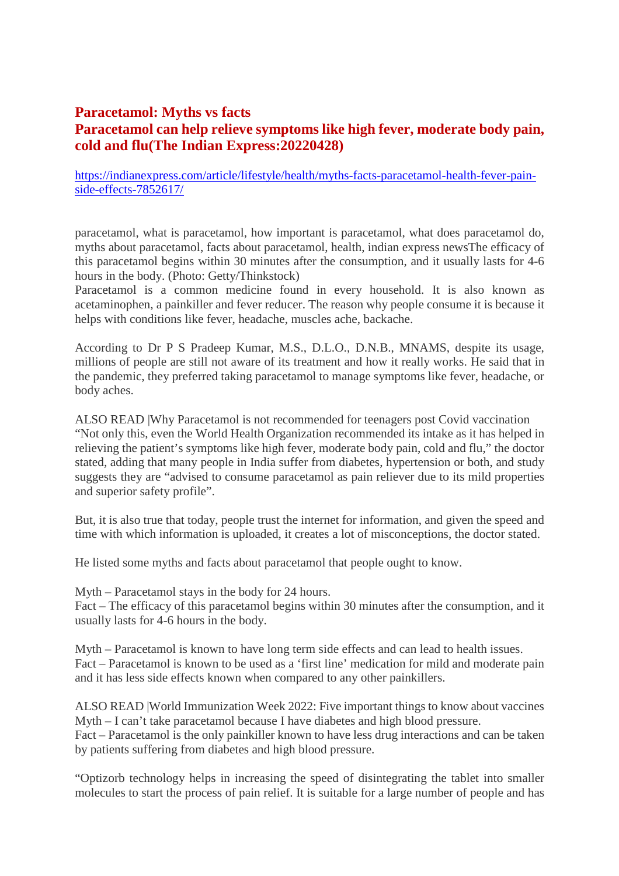# **Paracetamol: Myths vs facts Paracetamol can help relieve symptoms like high fever, moderate body pain, cold and flu(The Indian Express:20220428)**

https://indianexpress.com/article/lifestyle/health/myths-facts-paracetamol-health-fever-painside-effects-7852617/

paracetamol, what is paracetamol, how important is paracetamol, what does paracetamol do, myths about paracetamol, facts about paracetamol, health, indian express newsThe efficacy of this paracetamol begins within 30 minutes after the consumption, and it usually lasts for 4-6 hours in the body. (Photo: Getty/Thinkstock)

Paracetamol is a common medicine found in every household. It is also known as acetaminophen, a painkiller and fever reducer. The reason why people consume it is because it helps with conditions like fever, headache, muscles ache, backache.

According to Dr P S Pradeep Kumar, M.S., D.L.O., D.N.B., MNAMS, despite its usage, millions of people are still not aware of its treatment and how it really works. He said that in the pandemic, they preferred taking paracetamol to manage symptoms like fever, headache, or body aches.

ALSO READ |Why Paracetamol is not recommended for teenagers post Covid vaccination "Not only this, even the World Health Organization recommended its intake as it has helped in relieving the patient's symptoms like high fever, moderate body pain, cold and flu," the doctor stated, adding that many people in India suffer from diabetes, hypertension or both, and study suggests they are "advised to consume paracetamol as pain reliever due to its mild properties and superior safety profile".

But, it is also true that today, people trust the internet for information, and given the speed and time with which information is uploaded, it creates a lot of misconceptions, the doctor stated.

He listed some myths and facts about paracetamol that people ought to know.

Myth – Paracetamol stays in the body for 24 hours.

Fact – The efficacy of this paracetamol begins within 30 minutes after the consumption, and it usually lasts for 4-6 hours in the body.

Myth – Paracetamol is known to have long term side effects and can lead to health issues. Fact – Paracetamol is known to be used as a 'first line' medication for mild and moderate pain and it has less side effects known when compared to any other painkillers.

ALSO READ |World Immunization Week 2022: Five important things to know about vaccines Myth – I can't take paracetamol because I have diabetes and high blood pressure. Fact – Paracetamol is the only painkiller known to have less drug interactions and can be taken by patients suffering from diabetes and high blood pressure.

"Optizorb technology helps in increasing the speed of disintegrating the tablet into smaller molecules to start the process of pain relief. It is suitable for a large number of people and has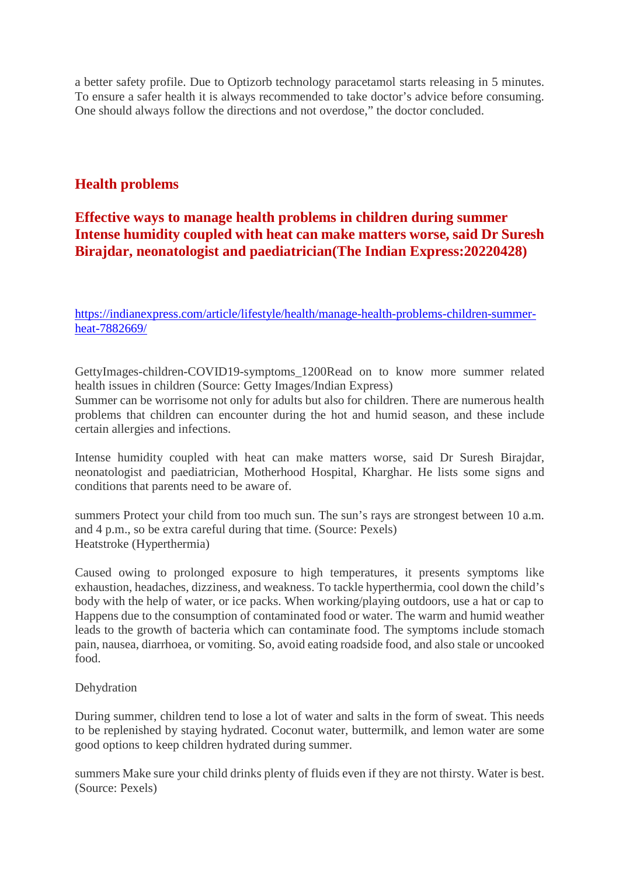a better safety profile. Due to Optizorb technology paracetamol starts releasing in 5 minutes. To ensure a safer health it is always recommended to take doctor's advice before consuming. One should always follow the directions and not overdose," the doctor concluded.

# **Health problems**

# **Effective ways to manage health problems in children during summer Intense humidity coupled with heat can make matters worse, said Dr Suresh Birajdar, neonatologist and paediatrician(The Indian Express:20220428)**

https://indianexpress.com/article/lifestyle/health/manage-health-problems-children-summerheat-7882669/

GettyImages-children-COVID19-symptoms\_1200Read on to know more summer related health issues in children (Source: Getty Images/Indian Express)

Summer can be worrisome not only for adults but also for children. There are numerous health problems that children can encounter during the hot and humid season, and these include certain allergies and infections.

Intense humidity coupled with heat can make matters worse, said Dr Suresh Birajdar, neonatologist and paediatrician, Motherhood Hospital, Kharghar. He lists some signs and conditions that parents need to be aware of.

summers Protect your child from too much sun. The sun's rays are strongest between 10 a.m. and 4 p.m., so be extra careful during that time. (Source: Pexels) Heatstroke (Hyperthermia)

Caused owing to prolonged exposure to high temperatures, it presents symptoms like exhaustion, headaches, dizziness, and weakness. To tackle hyperthermia, cool down the child's body with the help of water, or ice packs. When working/playing outdoors, use a hat or cap to Happens due to the consumption of contaminated food or water. The warm and humid weather leads to the growth of bacteria which can contaminate food. The symptoms include stomach pain, nausea, diarrhoea, or vomiting. So, avoid eating roadside food, and also stale or uncooked food.

#### Dehydration

During summer, children tend to lose a lot of water and salts in the form of sweat. This needs to be replenished by staying hydrated. Coconut water, buttermilk, and lemon water are some good options to keep children hydrated during summer.

summers Make sure your child drinks plenty of fluids even if they are not thirsty. Water is best. (Source: Pexels)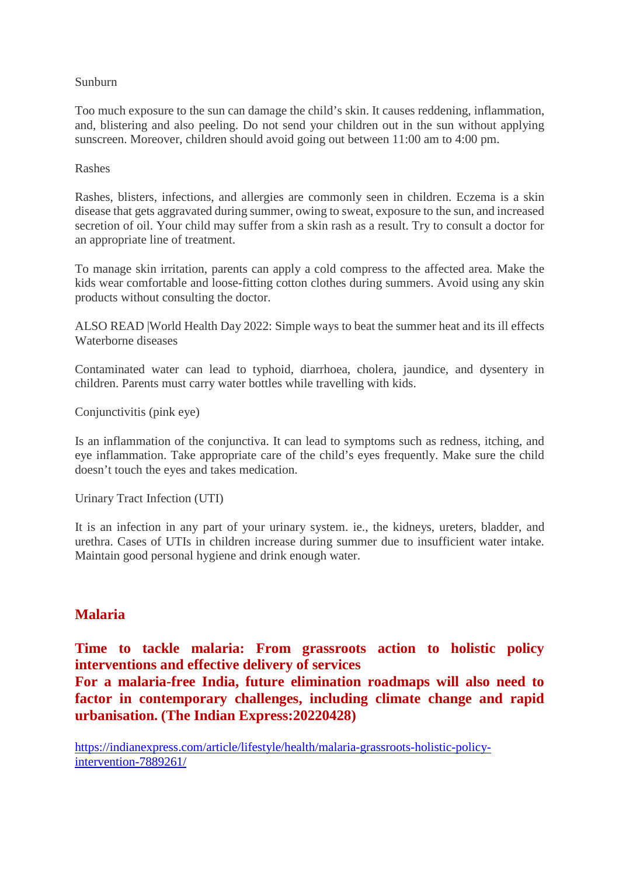#### Sunburn

Too much exposure to the sun can damage the child's skin. It causes reddening, inflammation, and, blistering and also peeling. Do not send your children out in the sun without applying sunscreen. Moreover, children should avoid going out between 11:00 am to 4:00 pm.

#### Rashes

Rashes, blisters, infections, and allergies are commonly seen in children. Eczema is a skin disease that gets aggravated during summer, owing to sweat, exposure to the sun, and increased secretion of oil. Your child may suffer from a skin rash as a result. Try to consult a doctor for an appropriate line of treatment.

To manage skin irritation, parents can apply a cold compress to the affected area. Make the kids wear comfortable and loose-fitting cotton clothes during summers. Avoid using any skin products without consulting the doctor.

ALSO READ |World Health Day 2022: Simple ways to beat the summer heat and its ill effects Waterborne diseases

Contaminated water can lead to typhoid, diarrhoea, cholera, jaundice, and dysentery in children. Parents must carry water bottles while travelling with kids.

Conjunctivitis (pink eye)

Is an inflammation of the conjunctiva. It can lead to symptoms such as redness, itching, and eye inflammation. Take appropriate care of the child's eyes frequently. Make sure the child doesn't touch the eyes and takes medication.

Urinary Tract Infection (UTI)

It is an infection in any part of your urinary system. ie., the kidneys, ureters, bladder, and urethra. Cases of UTIs in children increase during summer due to insufficient water intake. Maintain good personal hygiene and drink enough water.

# **Malaria**

**Time to tackle malaria: From grassroots action to holistic policy interventions and effective delivery of services**

**For a malaria-free India, future elimination roadmaps will also need to factor in contemporary challenges, including climate change and rapid urbanisation. (The Indian Express:20220428)**

https://indianexpress.com/article/lifestyle/health/malaria-grassroots-holistic-policyintervention-7889261/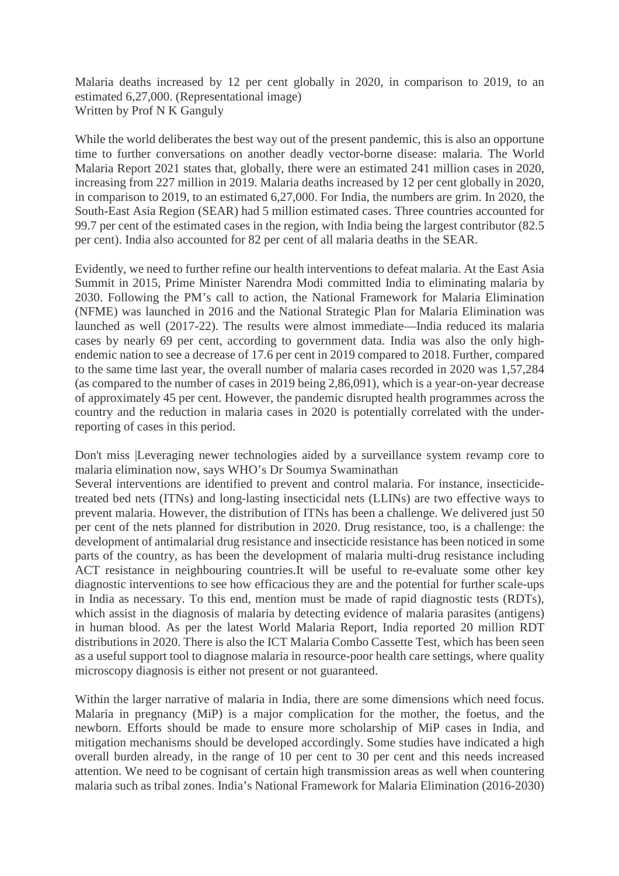Malaria deaths increased by 12 per cent globally in 2020, in comparison to 2019, to an estimated 6,27,000. (Representational image) Written by Prof N K Ganguly

While the world deliberates the best way out of the present pandemic, this is also an opportune time to further conversations on another deadly vector-borne disease: malaria. The World Malaria Report 2021 states that, globally, there were an estimated 241 million cases in 2020, increasing from 227 million in 2019. Malaria deaths increased by 12 per cent globally in 2020, in comparison to 2019, to an estimated 6,27,000. For India, the numbers are grim. In 2020, the South-East Asia Region (SEAR) had 5 million estimated cases. Three countries accounted for 99.7 per cent of the estimated cases in the region, with India being the largest contributor (82.5 per cent). India also accounted for 82 per cent of all malaria deaths in the SEAR.

Evidently, we need to further refine our health interventions to defeat malaria. At the East Asia Summit in 2015, Prime Minister Narendra Modi committed India to eliminating malaria by 2030. Following the PM's call to action, the National Framework for Malaria Elimination (NFME) was launched in 2016 and the National Strategic Plan for Malaria Elimination was launched as well (2017-22). The results were almost immediate—India reduced its malaria cases by nearly 69 per cent, according to government data. India was also the only highendemic nation to see a decrease of 17.6 per cent in 2019 compared to 2018. Further, compared to the same time last year, the overall number of malaria cases recorded in 2020 was 1,57,284 (as compared to the number of cases in 2019 being 2,86,091), which is a year-on-year decrease of approximately 45 per cent. However, the pandemic disrupted health programmes across the country and the reduction in malaria cases in 2020 is potentially correlated with the underreporting of cases in this period.

Don't miss |Leveraging newer technologies aided by a surveillance system revamp core to malaria elimination now, says WHO's Dr Soumya Swaminathan

Several interventions are identified to prevent and control malaria. For instance, insecticidetreated bed nets (ITNs) and long-lasting insecticidal nets (LLINs) are two effective ways to prevent malaria. However, the distribution of ITNs has been a challenge. We delivered just 50 per cent of the nets planned for distribution in 2020. Drug resistance, too, is a challenge: the development of antimalarial drug resistance and insecticide resistance has been noticed in some parts of the country, as has been the development of malaria multi-drug resistance including ACT resistance in neighbouring countries.It will be useful to re-evaluate some other key diagnostic interventions to see how efficacious they are and the potential for further scale-ups in India as necessary. To this end, mention must be made of rapid diagnostic tests (RDTs), which assist in the diagnosis of malaria by detecting evidence of malaria parasites (antigens) in human blood. As per the latest World Malaria Report, India reported 20 million RDT distributions in 2020. There is also the ICT Malaria Combo Cassette Test, which has been seen as a useful support tool to diagnose malaria in resource-poor health care settings, where quality microscopy diagnosis is either not present or not guaranteed.

Within the larger narrative of malaria in India, there are some dimensions which need focus. Malaria in pregnancy (MiP) is a major complication for the mother, the foetus, and the newborn. Efforts should be made to ensure more scholarship of MiP cases in India, and mitigation mechanisms should be developed accordingly. Some studies have indicated a high overall burden already, in the range of 10 per cent to 30 per cent and this needs increased attention. We need to be cognisant of certain high transmission areas as well when countering malaria such as tribal zones. India's National Framework for Malaria Elimination (2016-2030)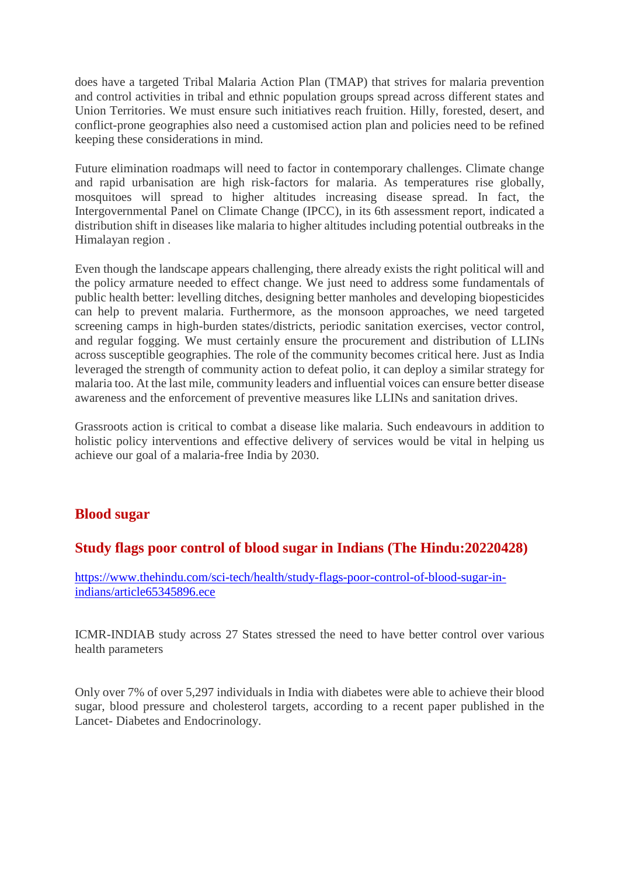does have a targeted Tribal Malaria Action Plan (TMAP) that strives for malaria prevention and control activities in tribal and ethnic population groups spread across different states and Union Territories. We must ensure such initiatives reach fruition. Hilly, forested, desert, and conflict-prone geographies also need a customised action plan and policies need to be refined keeping these considerations in mind.

Future elimination roadmaps will need to factor in contemporary challenges. Climate change and rapid urbanisation are high risk-factors for malaria. As temperatures rise globally, mosquitoes will spread to higher altitudes increasing disease spread. In fact, the Intergovernmental Panel on Climate Change (IPCC), in its 6th assessment report, indicated a distribution shift in diseases like malaria to higher altitudes including potential outbreaks in the Himalayan region .

Even though the landscape appears challenging, there already exists the right political will and the policy armature needed to effect change. We just need to address some fundamentals of public health better: levelling ditches, designing better manholes and developing biopesticides can help to prevent malaria. Furthermore, as the monsoon approaches, we need targeted screening camps in high-burden states/districts, periodic sanitation exercises, vector control, and regular fogging. We must certainly ensure the procurement and distribution of LLINs across susceptible geographies. The role of the community becomes critical here. Just as India leveraged the strength of community action to defeat polio, it can deploy a similar strategy for malaria too. At the last mile, community leaders and influential voices can ensure better disease awareness and the enforcement of preventive measures like LLINs and sanitation drives.

Grassroots action is critical to combat a disease like malaria. Such endeavours in addition to holistic policy interventions and effective delivery of services would be vital in helping us achieve our goal of a malaria-free India by 2030.

# **Blood sugar**

# **Study flags poor control of blood sugar in Indians (The Hindu:20220428)**

https://www.thehindu.com/sci-tech/health/study-flags-poor-control-of-blood-sugar-inindians/article65345896.ece

ICMR-INDIAB study across 27 States stressed the need to have better control over various health parameters

Only over 7% of over 5,297 individuals in India with diabetes were able to achieve their blood sugar, blood pressure and cholesterol targets, according to a recent paper published in the Lancet- Diabetes and Endocrinology.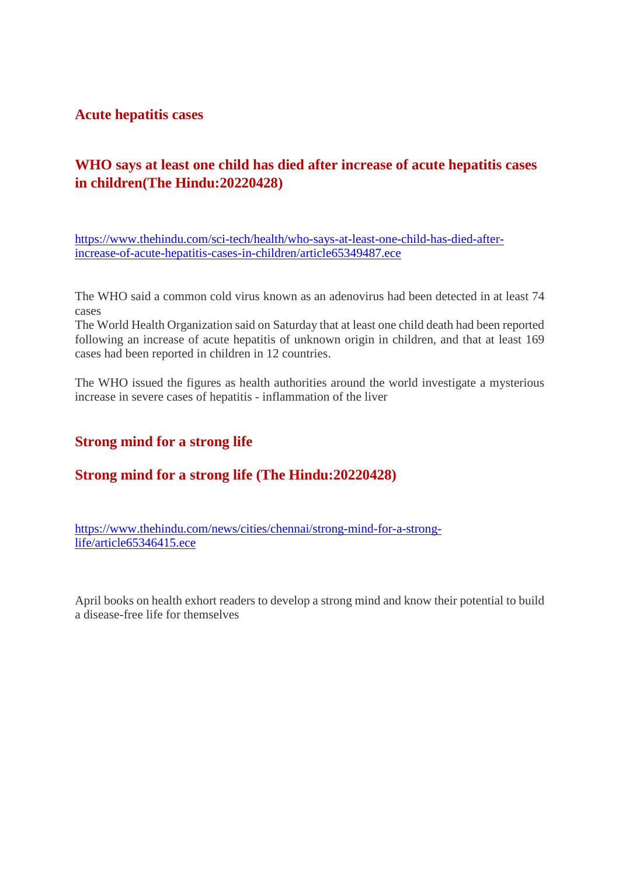**Acute hepatitis cases**

# **WHO says at least one child has died after increase of acute hepatitis cases in children(The Hindu:20220428)**

https://www.thehindu.com/sci-tech/health/who-says-at-least-one-child-has-died-afterincrease-of-acute-hepatitis-cases-in-children/article65349487.ece

The WHO said a common cold virus known as an adenovirus had been detected in at least 74 cases

The World Health Organization said on Saturday that at least one child death had been reported following an increase of acute hepatitis of unknown origin in children, and that at least 169 cases had been reported in children in 12 countries.

The WHO issued the figures as health authorities around the world investigate a mysterious increase in severe cases of hepatitis - inflammation of the liver

# **Strong mind for a strong life**

# **Strong mind for a strong life (The Hindu:20220428)**

https://www.thehindu.com/news/cities/chennai/strong-mind-for-a-stronglife/article65346415.ece

April books on health exhort readers to develop a strong mind and know their potential to build a disease-free life for themselves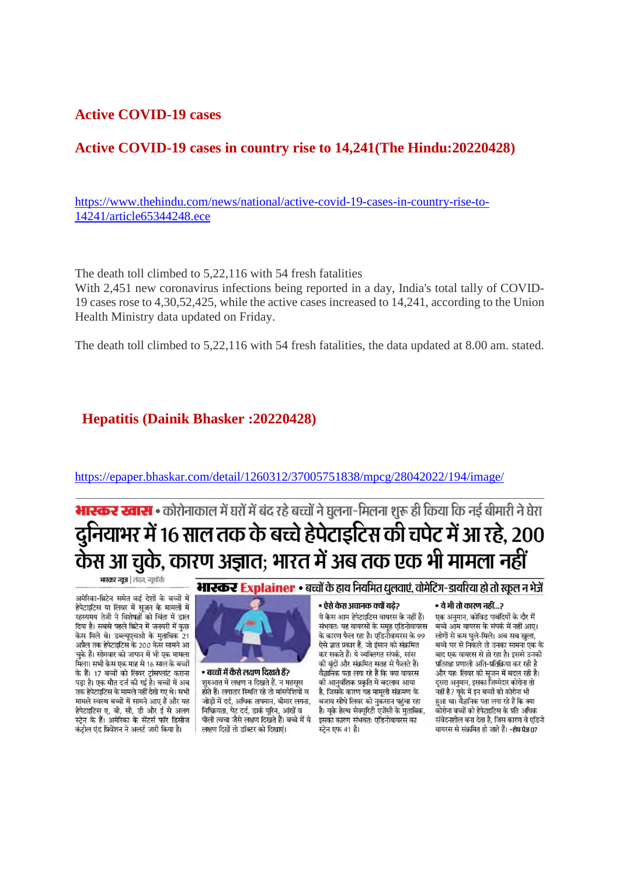### **Active COVID-19 cases**

# **Active COVID-19 cases in country rise to 14,241(The Hindu:20220428)**

https://www.thehindu.com/news/national/active-covid-19-cases-in-country-rise-to-14241/article65344248.ece

The death toll climbed to 5,22,116 with 54 fresh fatalities

With 2,451 new coronavirus infections being reported in a day, India's total tally of COVID-19 cases rose to 4,30,52,425, while the active cases increased to 14,241, according to the Union Health Ministry data updated on Friday.

The death toll climbed to 5,22,116 with 54 fresh fatalities, the data updated at 8.00 am. stated.

#### **Hepatitis (Dainik Bhasker :20220428)**

https://epaper.bhaskar.com/detail/1260312/37005751838/mpcg/28042022/194/image/

# **भारकर खास :** कोरोनाकाल में घरों में बंद रहे बच्चों ने घलना-मिलना शरू ही किया कि नई बीमारी ने घेरा दुनियाभर में 16 साल तक के बच्चे हेपेटाइटिस की चपेट में आ रहे, 200 केस आ चुके, कारण अज्ञात; भारत में अब तक एक भी मामला नहीं

भास्कर न्यूज | लंदन, न्यूयॉर्क

अमेरिका-ब्रिटेन समेत कई देशों के बच्चों में हेपेटाइटिस या लिवर में सूजन के मामलों में रहस्यमय तेजी ने विशेषज्ञों को चिंता में डाल दिया है। सबसे पहले ब्रिटेन में जनवरी में कुछ केस मिले थे। डब्ल्यूएचओ के मुताबिक 21 अप्रैल तक हेपेटाइटिस के 200 केस सामने आ चुके हैं। सोमवार को जापान में भी एक मामला मिला। सभी केस एक माह से 16 साल के बच्चों के हैं। 17 बच्चों को लिवर ट्रांसप्लांट कराना पड़ा है। एक मौत दर्ज की गई है। बच्चों में अब तक हेपेटाइटिस के मामले नहीं देखे गए थे। सभी मामले स्वस्थ बच्चों में सामने आए हैं और यह हेपेटाइटिस ए, बी, सी, डी और ई से अलग स्ट्रेन के हैं। अमेरिका के सेंटर्स फॉर डिसीज कंट्रोल एंड प्रिवेंशन ने अलर्ट जारी किया है।

#### भारकर Explainer • बच्चों के हाथ नियमित धलवाएं. वोमेटिंग-डायरिया हो तो स्कूल न भेजें



• बच्चों में कैसे लक्षण दिखते हैं? शुरुआत में लक्षण न दिखते हैं, न महसूस होते हैं। लगातार स्थिति रहे तो मांसपेशियों व जोड़ों में दर्द, अधिक तापमान, बीमार लगना, निष्क्रियता, पेट दर्द, डार्क यूरिन, आंखें व पीली त्वचा जैसे लक्षण दिखते हैं। बच्चे में ये लक्षण दिखें तो डॉक्टर को दिखाएं।

#### - ऐसे केस अचानक क्यों बढे?

ये केस आम हेपेटाइटिस वायरस के नहीं हैं। संभवतः यह वायरसों के समूह एडिनोवायरस के कारण फैल रहा है। एडिनोवायरस के 99 ऐसे ज्ञात प्रकार हैं, जो इंसान को संक्रमित कर सकते हैं। ये व्यक्तिगत संपर्क, सांस की बंदों और संक्रमित सतह से फैलते हैं। वैज्ञानिक पता लगा रहे हैं कि क्या वायरस की आनुवंशिक प्रकृति में बदलाव आया है, जिसके कारण यह मामली संक्रमण के बजाय सीधे लिवर को नुकसान पहुंचा रहा है। युके हेल्थ सेक्यूरिटी एजेंसी के मुताबिक, इसका कारण संभवतः एडिनोवायरस का स्ट्रेन एफ 41 है।

#### • ये भी तो कारण नहीं…?

एक अनमान, कोविड पाबंदियों के दौर में बच्चे आम वायरस के संपर्क में नहीं आए। लोगों से कम घुले-मिले। अब सब खुला, बच्चे घर से निकले तो उनका सामना एक के बाद एक वायरस से हो रहा है। इससे उनकी प्रतिरक्षा प्रणाली अति-प्रतिक्रिया कर रही है और यहः लिवर की सजन में बदल रही है। दूसरा अनुमान, इसका जिम्मेदार कोरोना तो नहीं है? यके में इन बच्चों को कोरोना भी हुआ था। वैज्ञानिक पता लगा रहे हैं कि क्या .<br>कोरोना बच्चों को हेपेटाइटिस के प्रति अधिक संवेदनशील बना देता है, जिस कारण वे एडिनो वायरस से संक्रमित हो जाते हैं। -शेष पेज 07